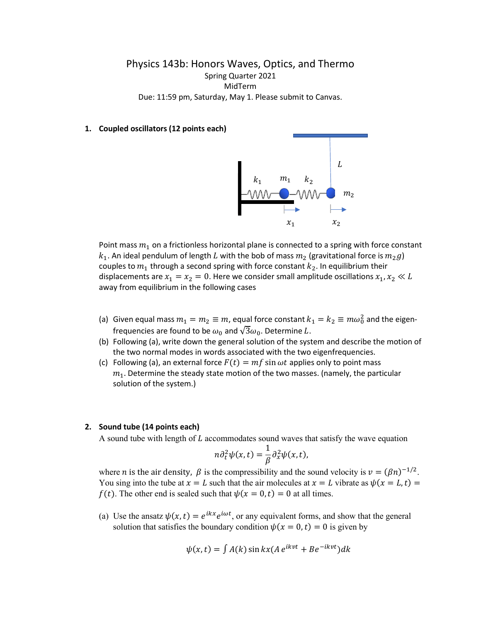## Physics 143b: Honors Waves, Optics, and Thermo Spring Quarter 2021 MidTerm Due: 11:59 pm, Saturday, May 1. Please submit to Canvas.

## **1. Coupled oscillators (12 points each)**



Point mass  $m_1$  on a frictionless horizontal plane is connected to a spring with force constant  $k_1$ . An ideal pendulum of length L with the bob of mass  $m_2$  (gravitational force is  $m_2g$ ) couples to  $m_1$  through a second spring with force constant  $k_2$ . In equilibrium their displacements are  $x_1 = x_2 = 0$ . Here we consider small amplitude oscillations  $x_1, x_2 \ll L$ away from equilibrium in the following cases

- (a) Given equal mass  $m_1 = m_2 \equiv m$ , equal force constant  $k_1 = k_2 \equiv m\omega_0^2$  and the eigenfrequencies are found to be  $\omega_0$  and  $\sqrt{3}\omega_0$ . Determine L.
- (b) Following (a), write down the general solution of the system and describe the motion of the two normal modes in words associated with the two eigenfrequencies.
- (c) Following (a), an external force  $F(t) = mf \sin \omega t$  applies only to point mass  $m<sub>1</sub>$ . Determine the steady state motion of the two masses. (namely, the particular solution of the system.)

## **2. Sound tube (14 points each)**

A sound tube with length of  $L$  accommodates sound waves that satisfy the wave equation

$$
n\partial_t^2\psi(x,t)=\frac{1}{\beta}\partial_x^2\psi(x,t),
$$

where *n* is the air density,  $\beta$  is the compressibility and the sound velocity is  $v = (\beta n)^{-1/2}$ . You sing into the tube at  $x = L$  such that the air molecules at  $x = L$  vibrate as  $\psi(x = L, t) =$  $f(t)$ . The other end is sealed such that  $\psi(x = 0, t) = 0$  at all times.

(a) Use the ansatz  $\psi(x,t) = e^{ikx} e^{i\omega t}$ , or any equivalent forms, and show that the general solution that satisfies the boundary condition  $\psi(x = 0, t) = 0$  is given by

$$
\psi(x,t) = \int A(k) \sin kx (A e^{ikvt} + Be^{-ikvt}) dk
$$